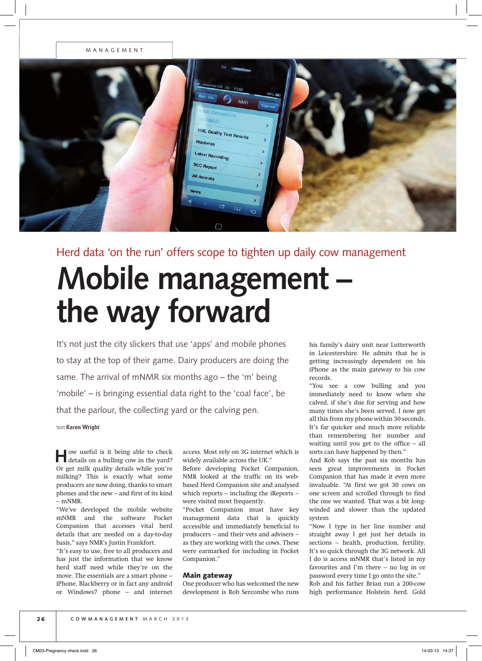## MANAGEMENT

| $\omega$ and<br>84%<br>Main Site<br>g<br><b>NMR</b><br>Sign out<br>- Hel Companion:<br><b>ANGESCO</b>                 |  |
|-----------------------------------------------------------------------------------------------------------------------|--|
| ٠<br><b>NML Quality Test Results</b><br>×<br>Herdwise<br>×<br>Latest Recording<br>٠<br>SCC Report<br>х<br>All Animals |  |
| ÿ.<br><b>News</b><br>◀<br>$E_{\rm H}$<br>$\overline{G}$<br>D                                                          |  |

# Herd data 'on the run' offers scope to tighten up daily cow management

# **Mobile management – the way forward**

It's not just the city slickers that use 'apps' and mobile phones to stay at the top of their game. Dairy producers are doing the same. The arrival of mNMR six months ago – the 'm' being 'mobile' – is bringing essential data right to the 'coal face', be that the parlour, the collecting yard or the calving pen.

## text **Karen Wright**

**H**ow useful is it being able to check details on a bulling cow in the yard? Or get milk quality details while you're milking? This is exactly what some producers are now doing, thanks to smart phones and the new – and first of its kind – mNMR.

"We've developed the mobile website mNMR and the software Pocket Companion that accesses vital herd details that are needed on a day-to-day basis," says NMR's Justin Frankfort.

"It's easy to use, free to all producers and has just the information that we know herd staff need while they're on the move. The essentials are a smart phone – iPhone, Blackberry or in fact any android or Windows7 phone – and internet access. Most rely on 3G internet which is widely available across the UK."

Before developing Pocket Companion, NMR looked at the traffic on its webbased Herd Companion site and analysed which reports – including the iReports – were visited most frequently.

"Pocket Companion must have key management data that is quickly accessible and immediately beneficial to producers – and their vets and advisers – as they are working with the cows. These were earmarked for including in Pocket Companion."

# Main gateway

One producer who has welcomed the new development is Rob Sercombe who runs his family's dairy unit near Lutterworth in Leicestershire. He admits that he is getting increasingly dependent on his iPhone as the main gateway to his cow records.

"You see a cow bulling and you immediately need to know when she calved, if she's due for serving and how many times she's been served. I now get all this from my phone within 30 seconds. It's far quicker and much more reliable than remembering her number and waiting until you get to the office – all sorts can have happened by then."

And Rob says the past six months has seen great improvements in Pocket Companion that has made it even more invaluable. "At first we got 30 cows on one screen and scrolled through to find the one we wanted. That was a bit longwinded and slower than the updated system

"Now I type in her line number and straight away I get just her details in sections – health, production, fertility. It's so quick through the 3G network. All I do is access mNMR that's listed in my favourites and I'm there – no log in or password every time I go onto the site." Rob and his father Brian run a 200-cow high performance Holstein herd. Gold